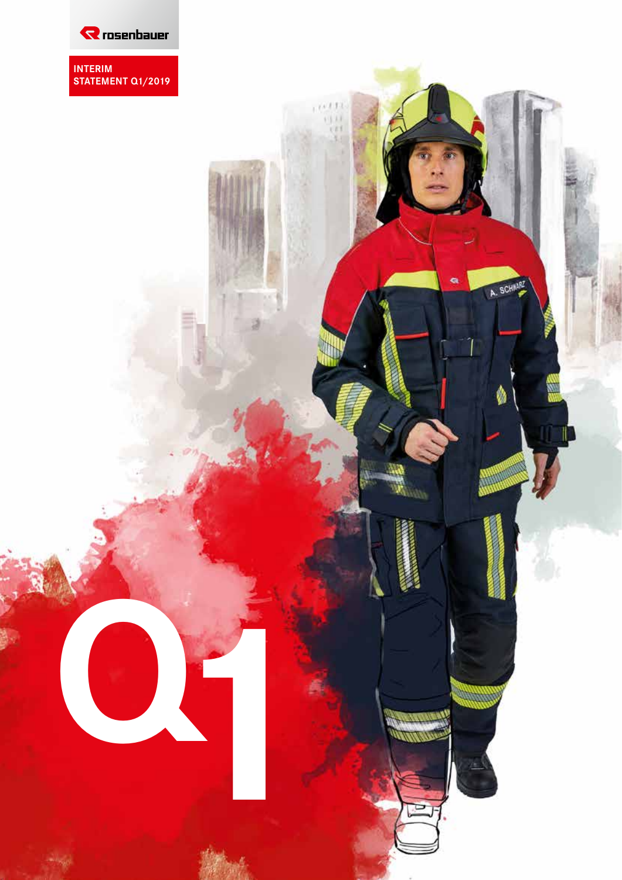

**INTERIM STATEMENT Q1/2019**

> $1111$ **QD**

> > a

A. SCHAARZ

WW

**Q1**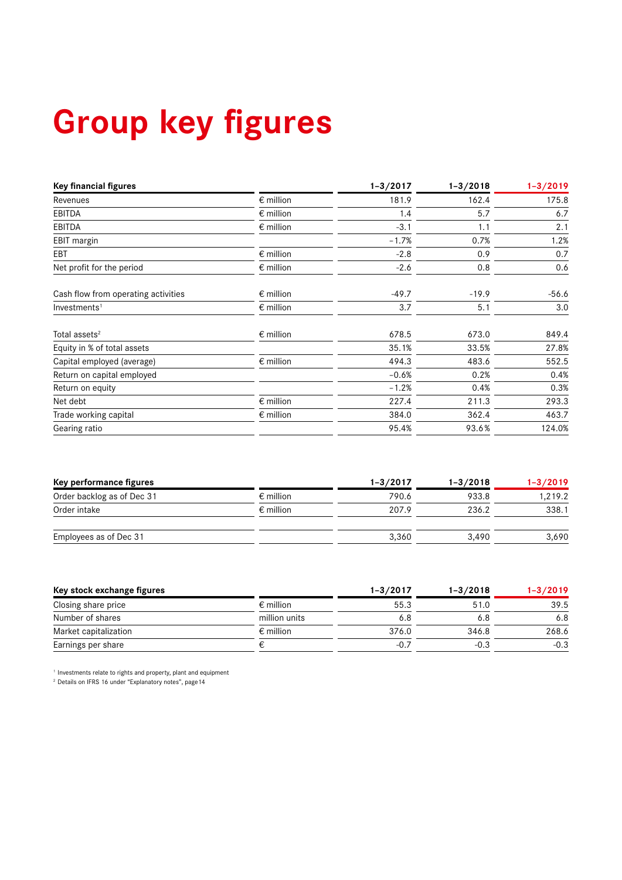# **Group key figures**

| <b>Key financial figures</b>        |                    | $1 - 3 / 2017$ | $1 - 3/2018$ | $1 - 3/2019$ |
|-------------------------------------|--------------------|----------------|--------------|--------------|
| Revenues                            | $\epsilon$ million | 181.9          | 162.4        | 175.8        |
| <b>EBITDA</b>                       | $\epsilon$ million | 1.4            | 5.7          | 6.7          |
| <b>EBITDA</b>                       | $\epsilon$ million | $-3.1$         | 1.1          | 2.1          |
| EBIT margin                         |                    | $-1.7%$        | 0.7%         | 1.2%         |
| EBT                                 | $\epsilon$ million | $-2.8$         | 0.9          | 0.7          |
| Net profit for the period           | $\epsilon$ million | $-2.6$         | 0.8          | 0.6          |
| Cash flow from operating activities | $\epsilon$ million | $-49.7$        | $-19.9$      | $-56.6$      |
| Investments <sup>1</sup>            | $\epsilon$ million | 3.7            | 5.1          | 3.0          |
| Total assets <sup>2</sup>           | $\epsilon$ million | 678.5          | 673.0        | 849.4        |
| Equity in % of total assets         |                    | 35.1%          | 33.5%        | 27.8%        |
| Capital employed (average)          | $\epsilon$ million | 494.3          | 483.6        | 552.5        |
| Return on capital employed          |                    | $-0.6%$        | 0.2%         | 0.4%         |
| Return on equity                    |                    | $-1.2%$        | 0.4%         | 0.3%         |
| Net debt                            | $\epsilon$ million | 227.4          | 211.3        | 293.3        |
| Trade working capital               | $\epsilon$ million | 384.0          | 362.4        | 463.7        |
| Gearing ratio                       |                    | 95.4%          | 93.6%        | 124.0%       |

| Key performance figures    |                    | $1 - 3/2017$ | $1 - 3 / 2018$ | $1 - 3/2019$ |
|----------------------------|--------------------|--------------|----------------|--------------|
| Order backlog as of Dec 31 | $\epsilon$ million | 790.6        | 933.8          | 1,219.2      |
| Order intake               | $\epsilon$ million | 207.9        | 236.2          | 338.1        |
| Employees as of Dec 31     |                    | 3.360        | 3.490          | 3,690        |

| Key stock exchange figures |                    | $1 - 3/2017$ | $1 - 3 / 2018$ | $1 - 3/2019$ |
|----------------------------|--------------------|--------------|----------------|--------------|
| Closing share price        | $\epsilon$ million | 55.3         | 51.0           | 39.5         |
| Number of shares           | million units      | 6.8          | 6.8            | 6.8          |
| Market capitalization      | $\epsilon$ million | 376.0        | 346.8          | 268.6        |
| Earnings per share         |                    | $-0.7$       | $-0.3$         | $-0.3$       |

<sup>1</sup> Investments relate to rights and property, plant and equipment<br><sup>2</sup> Details on IFRS 16 under "Explanatory notes", page14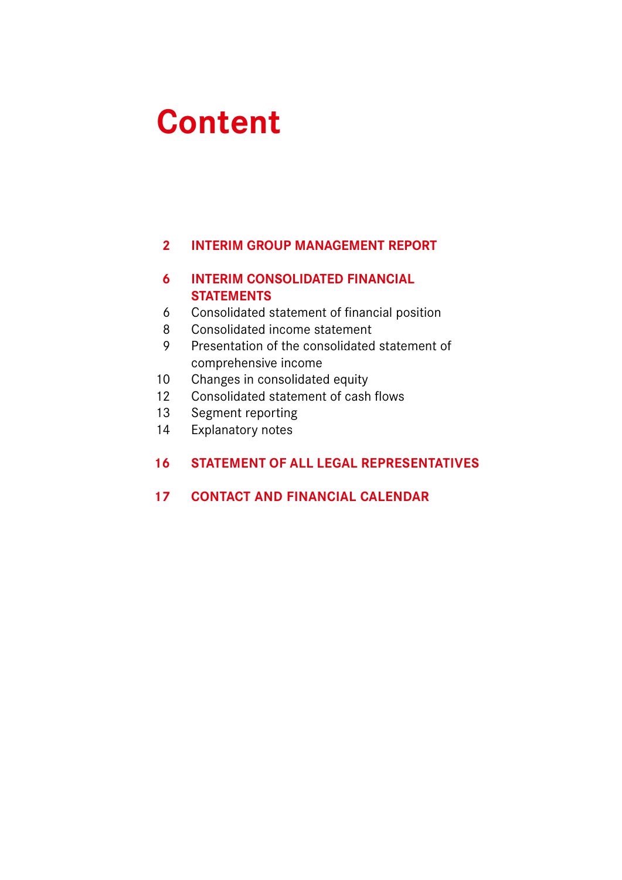# **Content**

# **INTERIM GROUP MANAGEMENT REPORT**

# **INTERIM CONSOLIDATED FINANCIAL STATEMENTS**

- Consolidated statement of financial position
- Consolidated income statement
- Presentation of the consolidated statement of comprehensive income
- Changes in consolidated equity
- Consolidated statement of cash flows
- Segment reporting
- Explanatory notes

# **STATEMENT OF ALL LEGAL REPRESENTATIVES**

# **CONTACT AND FINANCIAL CALENDAR**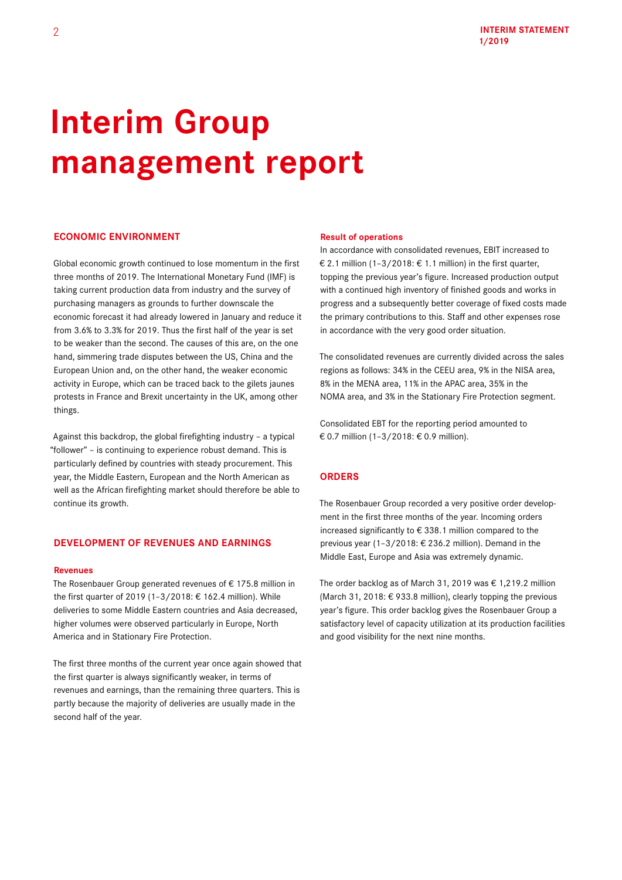# **Interim Group management report**

## **ECONOMIC ENVIRONMENT**

Global economic growth continued to lose momentum in the first three months of 2019. The International Monetary Fund (IMF) is taking current production data from industry and the survey of purchasing managers as grounds to further downscale the economic forecast it had already lowered in January and reduce it from 3.6% to 3.3% for 2019. Thus the first half of the year is set to be weaker than the second. The causes of this are, on the one hand, simmering trade disputes between the US, China and the European Union and, on the other hand, the weaker economic activity in Europe, which can be traced back to the gilets jaunes protests in France and Brexit uncertainty in the UK, among other things.

Against this backdrop, the global firefighting industry – a typical "follower" – is continuing to experience robust demand. This is particularly defined by countries with steady procurement. This year, the Middle Eastern, European and the North American as well as the African firefighting market should therefore be able to continue its growth.

## **DEVELOPMENT OF REVENUES AND EARNINGS**

#### **Revenues**

The Rosenbauer Group generated revenues of  $\epsilon$  175.8 million in the first quarter of 2019 (1–3/2018: € 162.4 million). While deliveries to some Middle Eastern countries and Asia decreased, higher volumes were observed particularly in Europe, North America and in Stationary Fire Protection.

The first three months of the current year once again showed that the first quarter is always significantly weaker, in terms of revenues and earnings, than the remaining three quarters. This is partly because the majority of deliveries are usually made in the second half of the year.

#### **Result of operations**

In accordance with consolidated revenues, EBIT increased to € 2.1 million (1-3/2018: € 1.1 million) in the first quarter, topping the previous year's figure. Increased production output with a continued high inventory of finished goods and works in progress and a subsequently better coverage of fixed costs made the primary contributions to this. Staff and other expenses rose in accordance with the very good order situation.

The consolidated revenues are currently divided across the sales regions as follows: 34% in the CEEU area, 9% in the NISA area, 8% in the MENA area, 11% in the APAC area, 35% in the NOMA area, and 3% in the Stationary Fire Protection segment.

Consolidated EBT for the reporting period amounted to € 0.7 million (1–3/2018: € 0.9 million).

## **ORDERS**

The Rosenbauer Group recorded a very positive order development in the first three months of the year. Incoming orders increased significantly to € 338.1 million compared to the previous year (1–3/2018: € 236.2 million). Demand in the Middle East, Europe and Asia was extremely dynamic.

The order backlog as of March 31, 2019 was  $\epsilon$  1,219.2 million (March 31, 2018: € 933.8 million), clearly topping the previous year's figure. This order backlog gives the Rosenbauer Group a satisfactory level of capacity utilization at its production facilities and good visibility for the next nine months.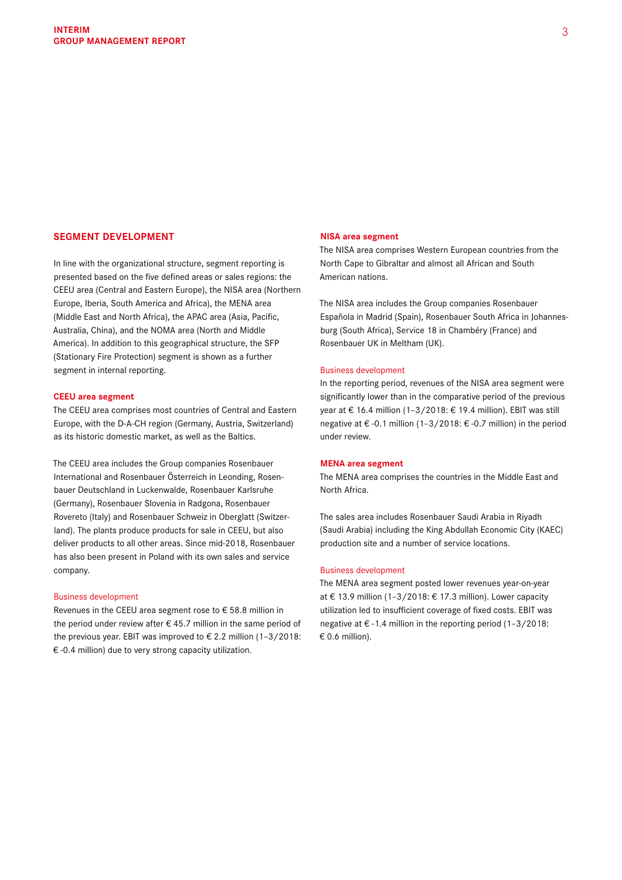## **SEGMENT DEVELOPMENT**

In line with the organizational structure, segment reporting is presented based on the five defined areas or sales regions: the CEEU area (Central and Eastern Europe), the NISA area (Northern Europe, Iberia, South America and Africa), the MENA area (Middle East and North Africa), the APAC area (Asia, Pacific, Australia, China), and the NOMA area (North and Middle America). In addition to this geographical structure, the SFP (Stationary Fire Protection) segment is shown as a further segment in internal reporting.

### **CEEU area segment**

The CEEU area comprises most countries of Central and Eastern Europe, with the D-A-CH region (Germany, Austria, Switzerland) as its historic domestic market, as well as the Baltics.

The CEEU area includes the Group companies Rosenbauer International and Rosenbauer Österreich in Leonding, Rosenbauer Deutschland in Luckenwalde, Rosenbauer Karlsruhe (Germany), Rosenbauer Slovenia in Radgona, Rosenbauer Rovereto (Italy) and Rosenbauer Schweiz in Oberglatt (Switzerland). The plants produce products for sale in CEEU, but also deliver products to all other areas. Since mid-2018, Rosenbauer has also been present in Poland with its own sales and service company.

#### Business development

Revenues in the CEEU area segment rose to € 58.8 million in the period under review after  $\epsilon$  45.7 million in the same period of the previous year. EBIT was improved to  $\epsilon$  2.2 million (1-3/2018: € -0.4 million) due to very strong capacity utilization.

#### **NISA area segment**

The NISA area comprises Western European countries from the North Cape to Gibraltar and almost all African and South American nations.

The NISA area includes the Group companies Rosenbauer Española in Madrid (Spain), Rosenbauer South Africa in Johannesburg (South Africa), Service 18 in Chambéry (France) and Rosenbauer UK in Meltham (UK).

#### Business development

In the reporting period, revenues of the NISA area segment were significantly lower than in the comparative period of the previous year at € 16.4 million (1–3/2018: € 19.4 million). EBIT was still negative at € -0.1 million (1–3/2018: € -0.7 million) in the period under review.

### **MENA area segment**

The MENA area comprises the countries in the Middle East and North Africa.

The sales area includes Rosenbauer Saudi Arabia in Riyadh (Saudi Arabia) including the King Abdullah Economic City (KAEC) production site and a number of service locations.

#### Business development

The MENA area segment posted lower revenues year-on-year at € 13.9 million (1–3/2018: € 17.3 million). Lower capacity utilization led to insufficient coverage of fixed costs. EBIT was negative at € -1.4 million in the reporting period (1–3/2018:  $\epsilon$  0.6 million).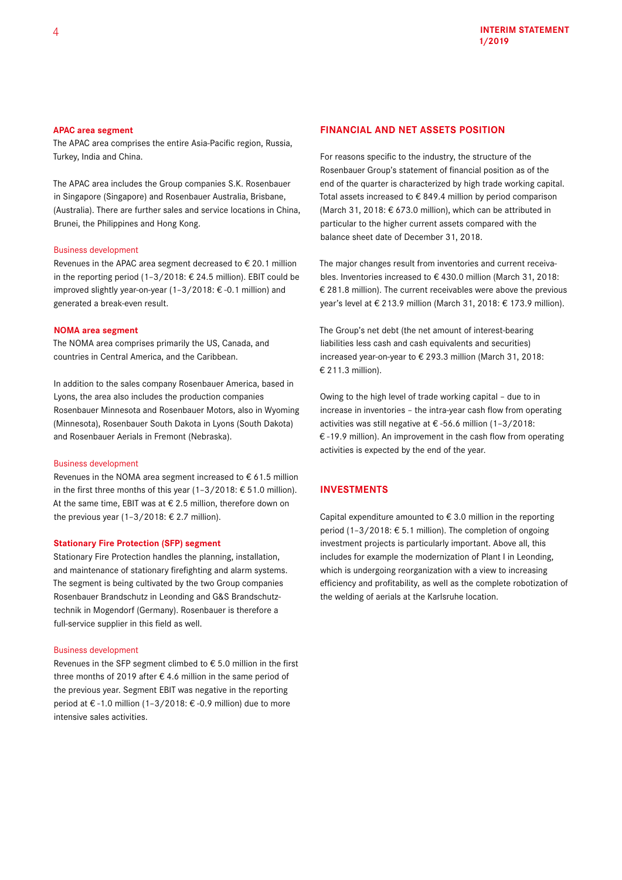### **APAC area segment**

The APAC area comprises the entire Asia-Pacific region, Russia, Turkey, India and China.

The APAC area includes the Group companies S.K. Rosenbauer in Singapore (Singapore) and Rosenbauer Australia, Brisbane, (Australia). There are further sales and service locations in China, Brunei, the Philippines and Hong Kong.

### Business development

Revenues in the APAC area segment decreased to € 20.1 million in the reporting period (1–3/2018: € 24.5 million). EBIT could be improved slightly year-on-year (1–3/2018: € -0.1 million) and generated a break-even result.

#### **NOMA area segment**

The NOMA area comprises primarily the US, Canada, and countries in Central America, and the Caribbean.

In addition to the sales company Rosenbauer America, based in Lyons, the area also includes the production companies Rosenbauer Minnesota and Rosenbauer Motors, also in Wyoming (Minnesota), Rosenbauer South Dakota in Lyons (South Dakota) and Rosenbauer Aerials in Fremont (Nebraska).

### Business development

Revenues in the NOMA area segment increased to  $\epsilon$  61.5 million in the first three months of this year (1-3/2018: € 51.0 million). At the same time, EBIT was at  $\epsilon$  2.5 million, therefore down on the previous year (1-3/2018: € 2.7 million).

### **Stationary Fire Protection (SFP) segment**

Stationary Fire Protection handles the planning, installation, and maintenance of stationary firefighting and alarm systems. The segment is being cultivated by the two Group companies Rosenbauer Brandschutz in Leonding and G&S Brandschutztechnik in Mogendorf (Germany). Rosenbauer is therefore a full-service supplier in this field as well.

#### Business development

Revenues in the SFP segment climbed to € 5.0 million in the first three months of 2019 after  $\epsilon$  4.6 million in the same period of the previous year. Segment EBIT was negative in the reporting period at € -1.0 million (1–3/2018: € -0.9 million) due to more intensive sales activities.

#### **FINANCIAL AND NET ASSETS POSITION**

For reasons specific to the industry, the structure of the Rosenbauer Group's statement of financial position as of the end of the quarter is characterized by high trade working capital. Total assets increased to € 849.4 million by period comparison (March 31, 2018: € 673.0 million), which can be attributed in particular to the higher current assets compared with the balance sheet date of December 31, 2018.

The major changes result from inventories and current receivables. Inventories increased to € 430.0 million (March 31, 2018: € 281.8 million). The current receivables were above the previous year's level at € 213.9 million (March 31, 2018: € 173.9 million).

The Group's net debt (the net amount of interest-bearing liabilities less cash and cash equivalents and securities) increased year-on-year to € 293.3 million (March 31, 2018: € 211.3 million).

Owing to the high level of trade working capital – due to in increase in inventories – the intra-year cash flow from operating activities was still negative at € -56.6 million (1–3/2018: € -19.9 million). An improvement in the cash flow from operating activities is expected by the end of the year.

## **INVESTMENTS**

Capital expenditure amounted to  $\epsilon$  3.0 million in the reporting period (1–3/2018: € 5.1 million). The completion of ongoing investment projects is particularly important. Above all, this includes for example the modernization of Plant I in Leonding, which is undergoing reorganization with a view to increasing efficiency and profitability, as well as the complete robotization of the welding of aerials at the Karlsruhe location.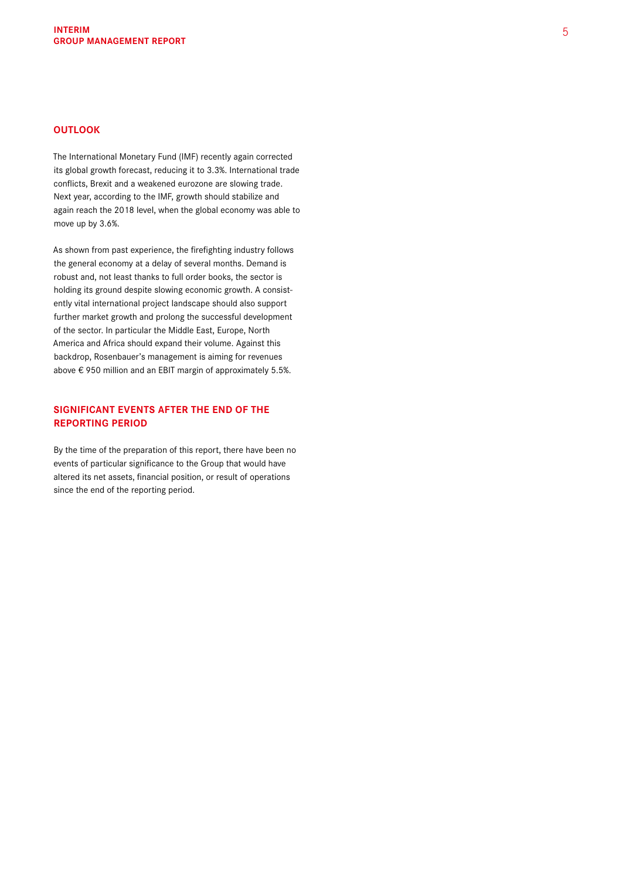## **OUTLOOK**

The International Monetary Fund (IMF) recently again corrected its global growth forecast, reducing it to 3.3%. International trade conflicts, Brexit and a weakened eurozone are slowing trade. Next year, according to the IMF, growth should stabilize and again reach the 2018 level, when the global economy was able to move up by 3.6%.

As shown from past experience, the firefighting industry follows the general economy at a delay of several months. Demand is robust and, not least thanks to full order books, the sector is holding its ground despite slowing economic growth. A consistently vital international project landscape should also support further market growth and prolong the successful development of the sector. In particular the Middle East, Europe, North America and Africa should expand their volume. Against this backdrop, Rosenbauer's management is aiming for revenues above € 950 million and an EBIT margin of approximately 5.5%.

# **SIGNIFICANT EVENTS AFTER THE END OF THE REPORTING PERIOD**

By the time of the preparation of this report, there have been no events of particular significance to the Group that would have altered its net assets, financial position, or result of operations since the end of the reporting period.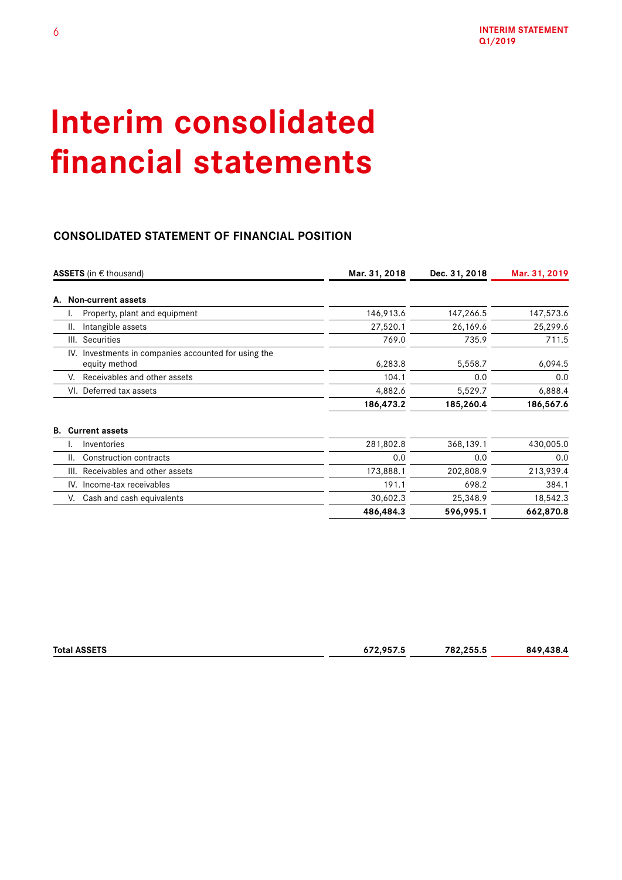# **Interim consolidated financial statements**

# **CONSOLIDATED STATEMENT OF FINANCIAL POSITION**

|      | ASSETS (in € thousand)                                            | Mar. 31, 2018 | Dec. 31, 2018 | Mar. 31, 2019 |
|------|-------------------------------------------------------------------|---------------|---------------|---------------|
| А.   | Non-current assets                                                |               |               |               |
| ۱.   | Property, plant and equipment                                     | 146,913.6     | 147,266.5     | 147,573.6     |
| ΙΙ.  | Intangible assets                                                 | 27,520.1      | 26,169.6      | 25,299.6      |
| III. | Securities                                                        | 769.0         | 735.9         | 711.5         |
| IV.  | Investments in companies accounted for using the<br>equity method | 6,283.8       | 5,558.7       | 6,094.5       |
| V.   | Receivables and other assets                                      | 104.1         | 0.0           | 0.0           |
|      | VI. Deferred tax assets                                           | 4,882.6       | 5,529.7       | 6,888.4       |
|      |                                                                   | 186,473.2     | 185,260.4     | 186,567.6     |
| В.   | <b>Current assets</b>                                             |               |               |               |
| ٠.   | Inventories                                                       | 281,802.8     | 368,139.1     | 430,005.0     |
| II.  | Construction contracts                                            | 0.0           | 0.0           | 0.0           |
| III. | Receivables and other assets                                      | 173,888.1     | 202,808.9     | 213,939.4     |
|      | IV. Income-tax receivables                                        | 191.1         | 698.2         | 384.1         |
| V.   | Cash and cash equivalents                                         | 30,602.3      | 25,348.9      | 18,542.3      |
|      |                                                                   | 486,484.3     | 596,995.1     | 662,870.8     |

| <b>Total</b><br><b>COLTO</b><br>. .<br>$\sim$ $\sim$ $\sim$ $\sim$ $\sim$ $\sim$ | いつ ハニフ ニ<br>ں.,<br>$\sim$ $\sim$ | .255.5<br>782 | <br>849<br>$\mathbf{H}$ |
|----------------------------------------------------------------------------------|----------------------------------|---------------|-------------------------|
|                                                                                  |                                  |               |                         |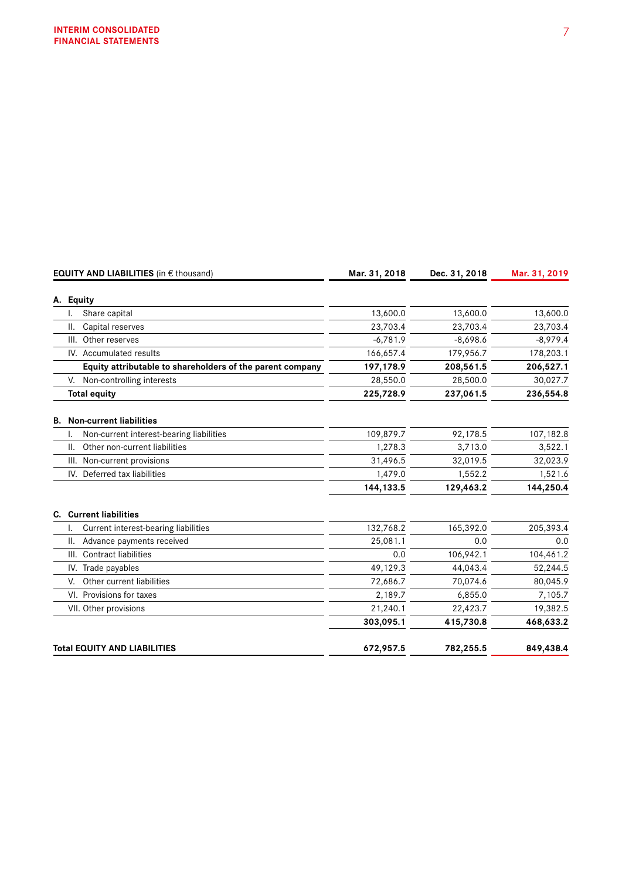|     | <b>EQUITY AND LIABILITIES</b> (in € thousand)             | Mar. 31, 2018 | Dec. 31, 2018 | Mar. 31, 2019 |
|-----|-----------------------------------------------------------|---------------|---------------|---------------|
|     | A. Equity                                                 |               |               |               |
|     | Share capital                                             | 13,600.0      | 13,600.0      | 13,600.0      |
| Ш.  | Capital reserves                                          | 23,703.4      | 23,703.4      | 23,703.4      |
|     | Other reserves<br>III.                                    | $-6,781.9$    | $-8,698.6$    | $-8,979.4$    |
|     | IV. Accumulated results                                   | 166,657.4     | 179,956.7     | 178,203.1     |
|     | Equity attributable to shareholders of the parent company | 197,178.9     | 208,561.5     | 206,527.1     |
|     | Non-controlling interests<br>V.                           | 28,550.0      | 28,500.0      | 30,027.7      |
|     | <b>Total equity</b>                                       | 225,728.9     | 237,061.5     | 236,554.8     |
|     | <b>B.</b> Non-current liabilities                         |               |               |               |
|     | Non-current interest-bearing liabilities                  | 109,879.7     | 92,178.5      | 107,182.8     |
| II. | Other non-current liabilities                             | 1,278.3       | 3,713.0       | 3,522.1       |
|     | Non-current provisions<br>III.                            | 31.496.5      | 32,019.5      | 32,023.9      |
|     | IV. Deferred tax liabilities                              | 1,479.0       | 1,552.2       | 1,521.6       |
|     |                                                           | 144, 133.5    | 129,463.2     | 144,250.4     |
|     | <b>C.</b> Current liabilities                             |               |               |               |
|     | Current interest-bearing liabilities                      | 132,768.2     | 165,392.0     | 205,393.4     |
| Ш.  | Advance payments received                                 | 25,081.1      | 0.0           | 0.0           |
|     | III. Contract liabilities                                 | 0.0           | 106,942.1     | 104,461.2     |
|     | IV. Trade payables                                        | 49,129.3      | 44,043.4      | 52,244.5      |
| V.  | Other current liabilities                                 | 72,686.7      | 70,074.6      | 80,045.9      |
|     | VI. Provisions for taxes                                  | 2,189.7       | 6,855.0       | 7,105.7       |
|     | VII. Other provisions                                     | 21,240.1      | 22,423.7      | 19,382.5      |
|     |                                                           | 303,095.1     | 415,730.8     | 468,633.2     |
|     | <b>Total EQUITY AND LIABILITIES</b>                       | 672,957.5     | 782,255.5     | 849,438.4     |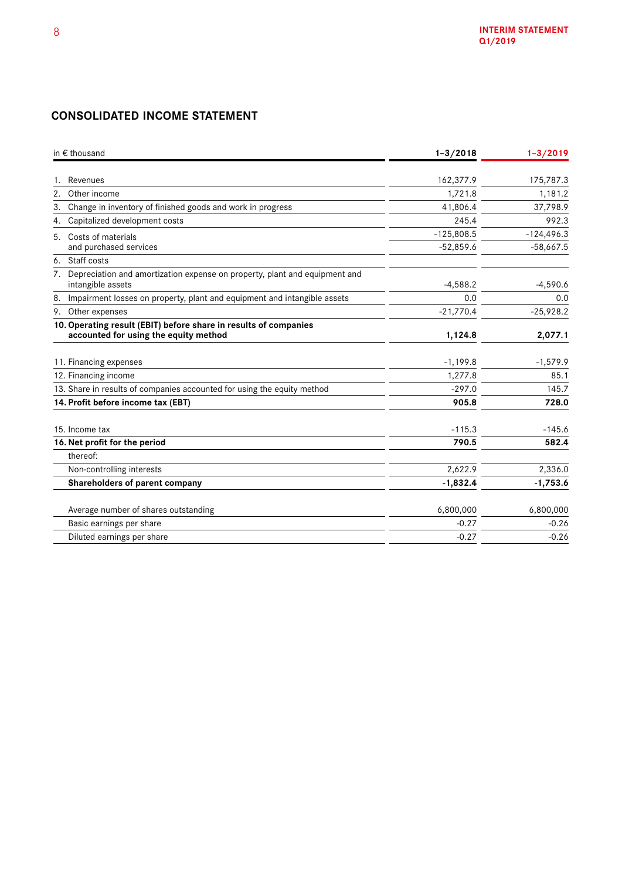# **CONSOLIDATED INCOME STATEMENT**

| in $\epsilon$ thousand                                                                                    | $1 - 3 / 2018$ | $1 - 3/2019$ |
|-----------------------------------------------------------------------------------------------------------|----------------|--------------|
| Revenues                                                                                                  | 162,377.9      | 175,787.3    |
| 2.<br>Other income                                                                                        | 1,721.8        | 1,181.2      |
| Change in inventory of finished goods and work in progress<br>3.                                          | 41,806.4       | 37,798.9     |
| Capitalized development costs<br>4.                                                                       | 245.4          | 992.3        |
| Costs of materials<br>5.                                                                                  | $-125,808.5$   | $-124,496.3$ |
| and purchased services                                                                                    | $-52,859.6$    | $-58,667.5$  |
| 6. Staff costs                                                                                            |                |              |
| 7. Depreciation and amortization expense on property, plant and equipment and<br>intangible assets        | $-4,588.2$     | $-4,590.6$   |
| Impairment losses on property, plant and equipment and intangible assets<br>8.                            | 0.0            | 0.0          |
| 9. Other expenses                                                                                         | $-21,770.4$    | $-25,928.2$  |
| 10. Operating result (EBIT) before share in results of companies<br>accounted for using the equity method | 1,124.8        | 2,077.1      |
| 11. Financing expenses                                                                                    | $-1,199.8$     | $-1,579.9$   |
| 12. Financing income                                                                                      | 1,277.8        | 85.1         |
| 13. Share in results of companies accounted for using the equity method                                   | $-297.0$       | 145.7        |
| 14. Profit before income tax (EBT)                                                                        | 905.8          | 728.0        |
| 15. Income tax                                                                                            | $-115.3$       | $-145.6$     |
| 16. Net profit for the period                                                                             | 790.5          | 582.4        |
| thereof:                                                                                                  |                |              |
| Non-controlling interests                                                                                 | 2,622.9        | 2,336.0      |
| Shareholders of parent company                                                                            | $-1,832.4$     | $-1,753.6$   |
| Average number of shares outstanding                                                                      | 6,800,000      | 6,800,000    |
| Basic earnings per share                                                                                  | $-0.27$        | $-0.26$      |
| Diluted earnings per share                                                                                | $-0.27$        | $-0.26$      |
|                                                                                                           |                |              |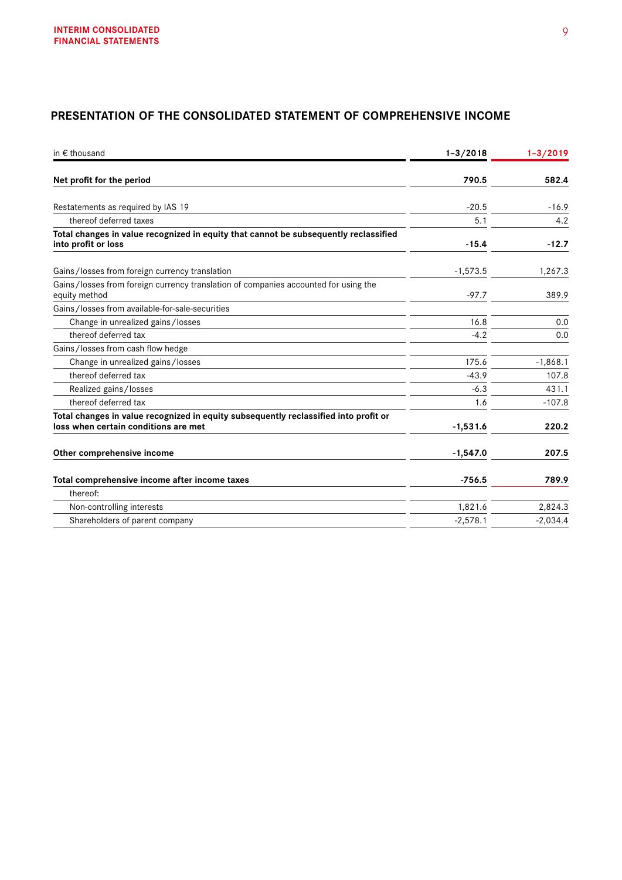# **PRESENTATION OF THE CONSOLIDATED STATEMENT OF COMPREHENSIVE INCOME**

| in $\epsilon$ thousand                                                                                                       | $1 - 3 / 2018$ | $1 - 3/2019$ |
|------------------------------------------------------------------------------------------------------------------------------|----------------|--------------|
| Net profit for the period                                                                                                    | 790.5          | 582.4        |
| Restatements as required by IAS 19                                                                                           | $-20.5$        | $-16.9$      |
| thereof deferred taxes                                                                                                       | 5.1            | 4.2          |
| Total changes in value recognized in equity that cannot be subsequently reclassified<br>into profit or loss                  | $-15.4$        | $-12.7$      |
| Gains/losses from foreign currency translation                                                                               | $-1,573.5$     | 1,267.3      |
| Gains/losses from foreign currency translation of companies accounted for using the<br>equity method                         | $-97.7$        | 389.9        |
| Gains/losses from available-for-sale-securities                                                                              |                |              |
| Change in unrealized gains/losses                                                                                            | 16.8           | 0.0          |
| thereof deferred tax                                                                                                         | $-4.2$         | 0.0          |
| Gains/losses from cash flow hedge                                                                                            |                |              |
| Change in unrealized gains/losses                                                                                            | 175.6          | $-1,868.1$   |
| thereof deferred tax                                                                                                         | $-43.9$        | 107.8        |
| Realized gains/losses                                                                                                        | $-6.3$         | 431.1        |
| thereof deferred tax                                                                                                         | 1.6            | $-107.8$     |
| Total changes in value recognized in equity subsequently reclassified into profit or<br>loss when certain conditions are met | $-1,531.6$     | 220.2        |
| Other comprehensive income                                                                                                   | $-1,547.0$     | 207.5        |
| Total comprehensive income after income taxes                                                                                | $-756.5$       | 789.9        |
| thereof:                                                                                                                     |                |              |
| Non-controlling interests                                                                                                    | 1,821.6        | 2,824.3      |
| Shareholders of parent company                                                                                               | $-2,578.1$     | $-2,034.4$   |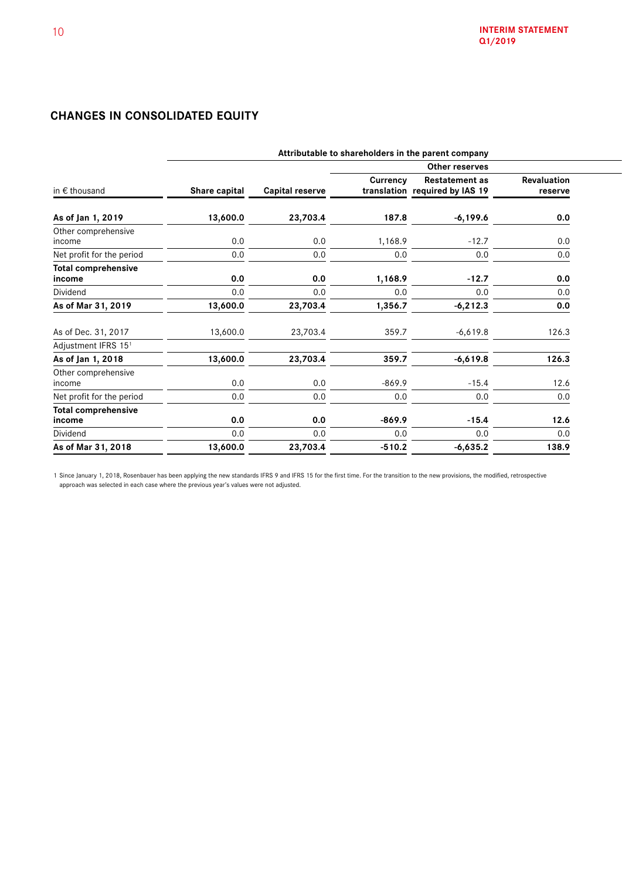# **CHANGES IN CONSOLIDATED EQUITY**

|                                      |               |                        |          | Attributable to shareholders in the parent company      |                        |
|--------------------------------------|---------------|------------------------|----------|---------------------------------------------------------|------------------------|
|                                      |               |                        |          |                                                         |                        |
| in $\epsilon$ thousand               | Share capital | <b>Capital reserve</b> | Currency | <b>Restatement as</b><br>translation required by IAS 19 | Revaluation<br>reserve |
| As of Jan 1, 2019                    | 13,600.0      | 23,703.4               | 187.8    | $-6,199.6$                                              | 0.0                    |
| Other comprehensive<br>income        | 0.0           | 0.0                    | 1,168.9  | $-12.7$                                                 | 0.0                    |
| Net profit for the period            | 0.0           | 0.0                    | 0.0      | 0.0                                                     | 0.0                    |
| <b>Total comprehensive</b><br>income | 0.0           | 0.0                    | 1,168.9  | $-12.7$                                                 | 0.0                    |
| Dividend                             | 0.0           | 0.0                    | 0.0      | 0.0                                                     | 0.0                    |
| As of Mar 31, 2019                   | 13,600.0      | 23,703.4               | 1,356.7  | $-6,212.3$                                              | 0.0                    |
| As of Dec. 31, 2017                  | 13,600.0      | 23,703.4               | 359.7    | $-6,619.8$                                              | 126.3                  |
| Adjustment IFRS 151                  |               |                        |          |                                                         |                        |
| As of Jan 1, 2018                    | 13,600.0      | 23,703.4               | 359.7    | $-6,619.8$                                              | 126.3                  |
| Other comprehensive<br>income        | 0.0           | 0.0                    | $-869.9$ | $-15.4$                                                 | 12.6                   |
| Net profit for the period            | 0.0           | 0.0                    | 0.0      | 0.0                                                     | 0.0                    |
| <b>Total comprehensive</b><br>income | 0.0           | 0.0                    | $-869.9$ | $-15.4$                                                 | 12.6                   |
| Dividend                             | 0.0           | 0.0                    | 0.0      | 0.0                                                     | 0.0                    |
| As of Mar 31, 2018                   | 13,600.0      | 23,703.4               | $-510.2$ | $-6,635.2$                                              | 138.9                  |

1 Since January 1, 2018, Rosenbauer has been applying the new standards IFRS 9 and IFRS 15 for the first time. For the transition to the new provisions, the modified, retrospective approach was selected in each case where the previous year's values were not adjusted.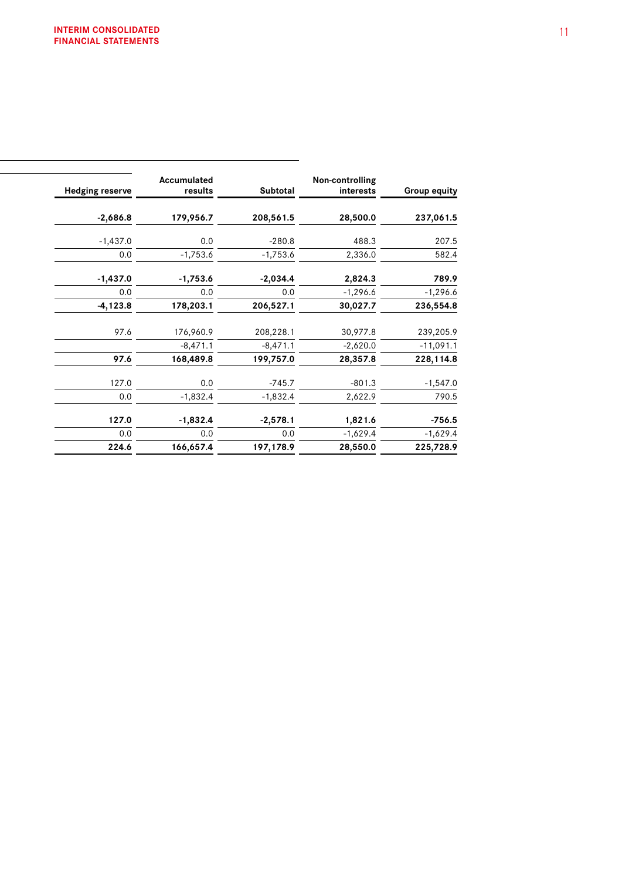| <b>Group equity</b> | Non-controlling<br>interests | Subtotal   | Accumulated<br>results | <b>Hedging reserve</b> |
|---------------------|------------------------------|------------|------------------------|------------------------|
| 237,061.5           | 28,500.0                     | 208,561.5  | 179,956.7              | $-2,686.8$             |
| 207.5               | 488.3                        | $-280.8$   | 0.0                    | $-1,437.0$             |
| 582.4               | 2,336.0                      | $-1,753.6$ | $-1,753.6$             | 0.0                    |
| 789.9               | 2,824.3                      | $-2,034.4$ | $-1,753.6$             | $-1,437.0$             |
| $-1,296.6$          | $-1,296.6$                   | 0.0        | 0.0                    | 0.0                    |
| 236,554.8           | 30,027.7                     | 206,527.1  | 178,203.1              | $-4,123.8$             |
| 239,205.9           | 30,977.8                     | 208,228.1  | 176,960.9              | 97.6                   |
| $-11,091.1$         | $-2,620.0$                   | $-8,471.1$ | $-8,471.1$             |                        |
| 228,114.8           | 28,357.8                     | 199,757.0  | 168,489.8              | 97.6                   |
| $-1,547.0$          | $-801.3$                     | $-745.7$   | 0.0                    | 127.0                  |
| 790.5               | 2,622.9                      | $-1,832.4$ | $-1,832.4$             | 0.0                    |
| $-756.5$            | 1,821.6                      | $-2,578.1$ | $-1,832.4$             | 127.0                  |
| $-1,629.4$          | $-1,629.4$                   | 0.0        | 0.0                    | 0.0                    |
| 225,728.9           | 28,550.0                     | 197,178.9  | 166,657.4              | 224.6                  |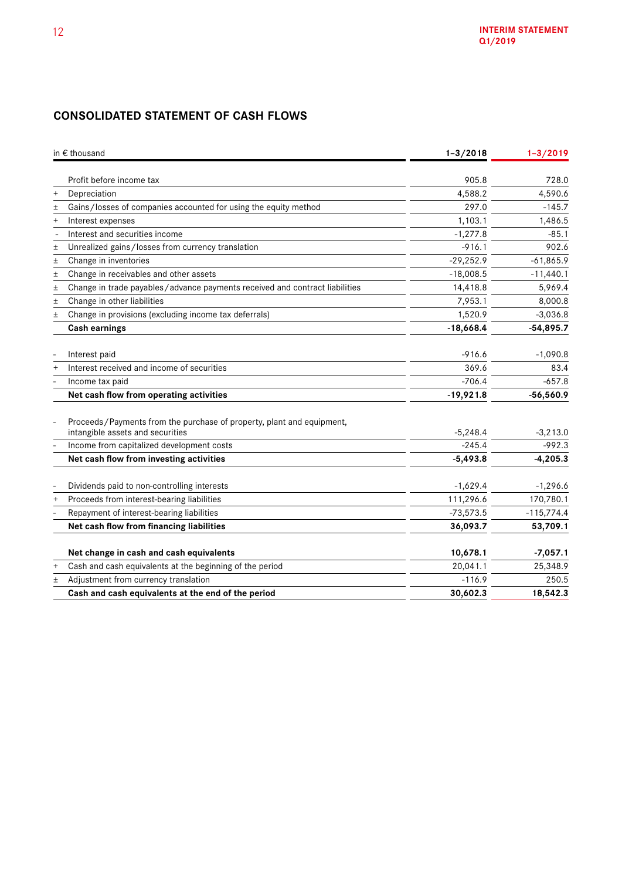# **CONSOLIDATED STATEMENT OF CASH FLOWS**

|        | in € thousand                                                                                             | $1 - 3/2018$ | $1 - 3/2019$ |
|--------|-----------------------------------------------------------------------------------------------------------|--------------|--------------|
|        | Profit before income tax                                                                                  | 905.8        | 728.0        |
| $^{+}$ | Depreciation                                                                                              | 4,588.2      | 4,590.6      |
| $\pm$  | Gains/losses of companies accounted for using the equity method                                           | 297.0        | $-145.7$     |
| $^{+}$ | Interest expenses                                                                                         | 1,103.1      | 1,486.5      |
|        | Interest and securities income                                                                            | $-1,277.8$   | $-85.1$      |
| $\pm$  | Unrealized gains/losses from currency translation                                                         | $-916.1$     | 902.6        |
| $\pm$  | Change in inventories                                                                                     | $-29,252.9$  | $-61,865.9$  |
| $\pm$  | Change in receivables and other assets                                                                    | $-18,008.5$  | $-11,440.1$  |
| $\pm$  | Change in trade payables/advance payments received and contract liabilities                               | 14,418.8     | 5,969.4      |
| $\pm$  | Change in other liabilities                                                                               | 7,953.1      | 8,000.8      |
| $\pm$  | Change in provisions (excluding income tax deferrals)                                                     | 1,520.9      | $-3,036.8$   |
|        | <b>Cash earnings</b>                                                                                      | $-18,668.4$  | $-54,895.7$  |
|        |                                                                                                           |              |              |
|        | Interest paid                                                                                             | $-916.6$     | $-1,090.8$   |
| $^{+}$ | Interest received and income of securities                                                                | 369.6        | 83.4         |
|        | Income tax paid                                                                                           | $-706.4$     | $-657.8$     |
|        | Net cash flow from operating activities                                                                   | $-19,921.8$  | $-56,560.9$  |
|        |                                                                                                           |              |              |
|        | Proceeds/Payments from the purchase of property, plant and equipment,<br>intangible assets and securities | $-5,248.4$   | $-3,213.0$   |
|        | Income from capitalized development costs                                                                 | $-245.4$     | $-992.3$     |
|        | Net cash flow from investing activities                                                                   | $-5,493.8$   | $-4,205.3$   |
|        |                                                                                                           |              |              |
|        | Dividends paid to non-controlling interests                                                               | $-1,629.4$   | $-1,296.6$   |
| $^{+}$ | Proceeds from interest-bearing liabilities                                                                | 111,296.6    | 170,780.1    |
|        | Repayment of interest-bearing liabilities                                                                 | $-73,573.5$  | $-115,774.4$ |
|        | Net cash flow from financing liabilities                                                                  | 36,093.7     | 53,709.1     |
|        |                                                                                                           |              |              |
|        | Net change in cash and cash equivalents                                                                   | 10,678.1     | $-7,057.1$   |
| $^{+}$ | Cash and cash equivalents at the beginning of the period                                                  | 20,041.1     | 25,348.9     |
| Ŧ      | Adjustment from currency translation                                                                      | $-116.9$     | 250.5        |
|        | Cash and cash equivalents at the end of the period                                                        | 30,602.3     | 18,542.3     |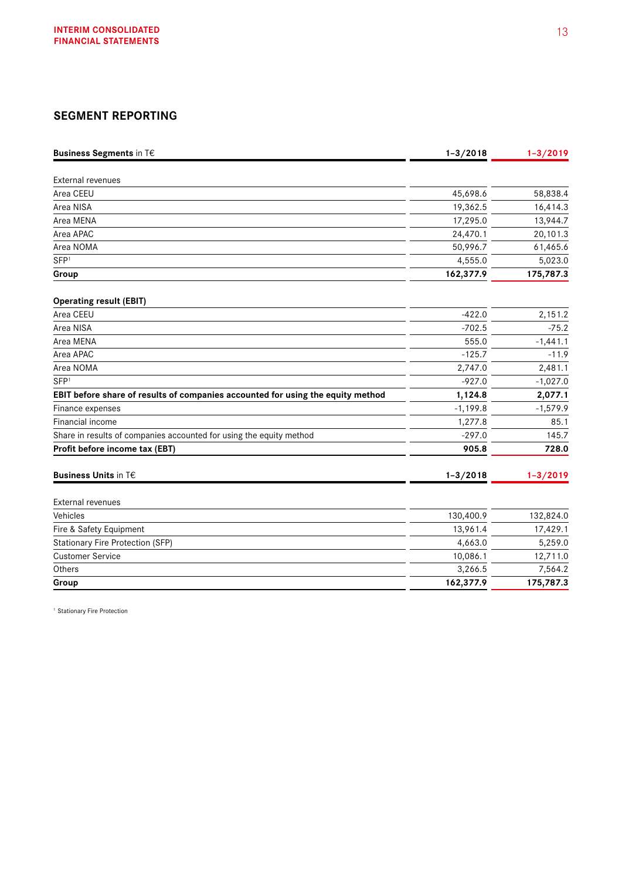# **SEGMENT REPORTING**

| <b>Business Segments in T€</b>                                                  | $1 - 3/2018$ | $1 - 3/2019$ |
|---------------------------------------------------------------------------------|--------------|--------------|
|                                                                                 |              |              |
| <b>External revenues</b>                                                        |              |              |
| Area CEEU                                                                       | 45,698.6     | 58,838.4     |
| Area NISA                                                                       | 19,362.5     | 16,414.3     |
| Area MENA                                                                       | 17,295.0     | 13,944.7     |
| Area APAC                                                                       | 24,470.1     | 20,101.3     |
| Area NOMA                                                                       | 50,996.7     | 61,465.6     |
| SFP <sup>1</sup>                                                                | 4,555.0      | 5,023.0      |
| Group                                                                           | 162,377.9    | 175,787.3    |
| <b>Operating result (EBIT)</b>                                                  |              |              |
| Area CEEU                                                                       | $-422.0$     | 2,151.2      |
| Area NISA                                                                       | $-702.5$     | $-75.2$      |
| Area MENA                                                                       | 555.0        | $-1,441.1$   |
| Area APAC                                                                       | $-125.7$     | $-11.9$      |
| Area NOMA                                                                       | 2,747.0      | 2,481.1      |
| SFP <sup>1</sup>                                                                | $-927.0$     | $-1,027.0$   |
| EBIT before share of results of companies accounted for using the equity method | 1,124.8      | 2,077.1      |
| Finance expenses                                                                | $-1,199.8$   | $-1,579.9$   |
| Financial income                                                                | 1,277.8      | 85.1         |
| Share in results of companies accounted for using the equity method             | $-297.0$     | 145.7        |
| Profit before income tax (EBT)                                                  | 905.8        | 728.0        |
| <b>Business Units in T€</b>                                                     | $1 - 3/2018$ | $1 - 3/2019$ |
| <b>External revenues</b>                                                        |              |              |
| Vehicles                                                                        | 130,400.9    | 132,824.0    |
| Fire & Safety Equipment                                                         | 13,961.4     | 17,429.1     |
| Stationary Fire Protection (SFP)                                                | 4,663.0      | 5,259.0      |
| <b>Customer Service</b>                                                         | 10,086.1     | 12,711.0     |
| Others                                                                          | 3,266.5      | 7,564.2      |
| Group                                                                           | 162,377.9    | 175,787.3    |

<sup>1</sup> Stationary Fire Protection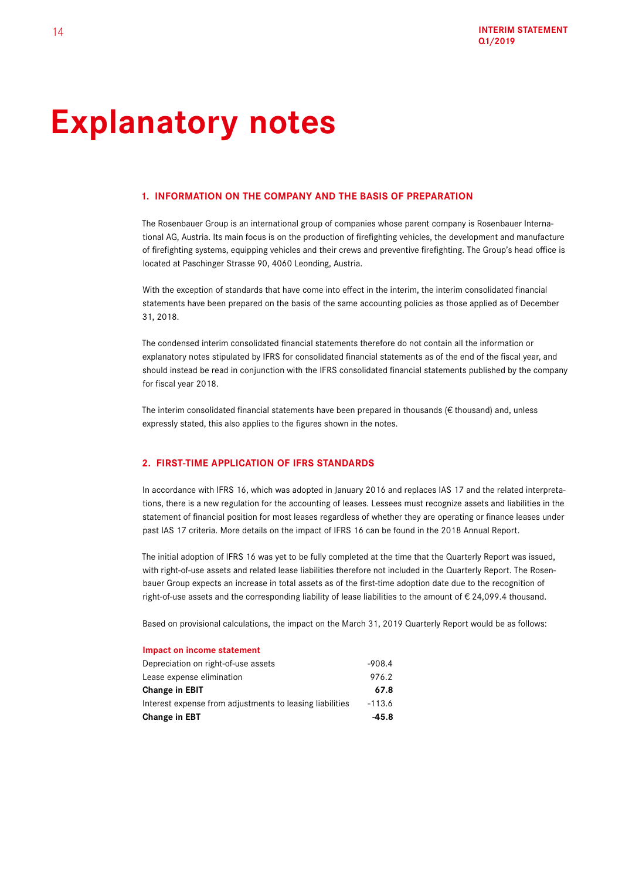# **Explanatory notes**

### **1. INFORMATION ON THE COMPANY AND THE BASIS OF PREPARATION**

The Rosenbauer Group is an international group of companies whose parent company is Rosenbauer International AG, Austria. Its main focus is on the production of firefighting vehicles, the development and manufacture of firefighting systems, equipping vehicles and their crews and preventive firefighting. The Group's head office is located at Paschinger Strasse 90, 4060 Leonding, Austria.

With the exception of standards that have come into effect in the interim, the interim consolidated financial statements have been prepared on the basis of the same accounting policies as those applied as of December 31, 2018.

The condensed interim consolidated financial statements therefore do not contain all the information or explanatory notes stipulated by IFRS for consolidated financial statements as of the end of the fiscal year, and should instead be read in conjunction with the IFRS consolidated financial statements published by the company for fiscal year 2018.

The interim consolidated financial statements have been prepared in thousands ( $\epsilon$  thousand) and, unless expressly stated, this also applies to the figures shown in the notes.

## **2. FIRST-TIME APPLICATION OF IFRS STANDARDS**

In accordance with IFRS 16, which was adopted in January 2016 and replaces IAS 17 and the related interpretations, there is a new regulation for the accounting of leases. Lessees must recognize assets and liabilities in the statement of financial position for most leases regardless of whether they are operating or finance leases under past IAS 17 criteria. More details on the impact of IFRS 16 can be found in the 2018 Annual Report.

The initial adoption of IFRS 16 was yet to be fully completed at the time that the Quarterly Report was issued, with right-of-use assets and related lease liabilities therefore not included in the Quarterly Report. The Rosenbauer Group expects an increase in total assets as of the first-time adoption date due to the recognition of right-of-use assets and the corresponding liability of lease liabilities to the amount of € 24,099.4 thousand.

Based on provisional calculations, the impact on the March 31, 2019 Quarterly Report would be as follows:

#### **Impact on income statement**

| <b>Change in EBT</b>                                     | -45.8    |
|----------------------------------------------------------|----------|
| Interest expense from adjustments to leasing liabilities | $-113.6$ |
| <b>Change in EBIT</b>                                    | 67.8     |
| Lease expense elimination                                | 976.2    |
| Depreciation on right-of-use assets                      | -908.4   |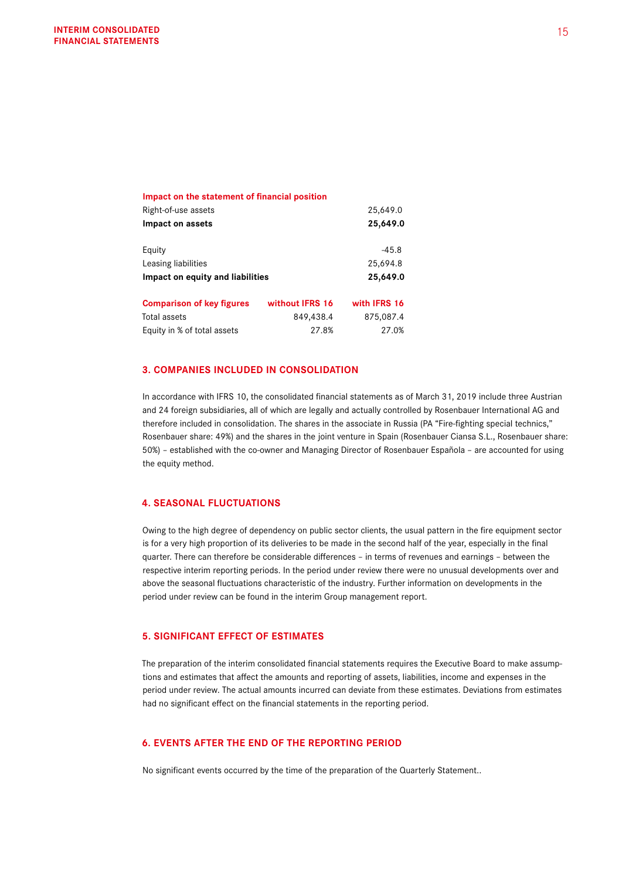| Impact on the statement of financial position |                 |              |
|-----------------------------------------------|-----------------|--------------|
| Right-of-use assets                           |                 | 25,649.0     |
| Impact on assets                              |                 | 25,649.0     |
| Equity                                        |                 | $-45.8$      |
| Leasing liabilities                           |                 | 25,694.8     |
| Impact on equity and liabilities              |                 | 25,649.0     |
| <b>Comparison of key figures</b>              | without IFRS 16 | with IFRS 16 |
| Total assets                                  | 849,438.4       | 875,087.4    |
| Equity in % of total assets                   | 27.8%           | 27.0%        |
|                                               |                 |              |

### **3. COMPANIES INCLUDED IN CONSOLIDATION**

In accordance with IFRS 10, the consolidated financial statements as of March 31, 2019 include three Austrian and 24 foreign subsidiaries, all of which are legally and actually controlled by Rosenbauer International AG and therefore included in consolidation. The shares in the associate in Russia (PA "Fire-fighting special technics," Rosenbauer share: 49%) and the shares in the joint venture in Spain (Rosenbauer Ciansa S.L., Rosenbauer share: 50%) – established with the co-owner and Managing Director of Rosenbauer Española – are accounted for using the equity method.

## **4. SEASONAL FLUCTUATIONS**

Owing to the high degree of dependency on public sector clients, the usual pattern in the fire equipment sector is for a very high proportion of its deliveries to be made in the second half of the year, especially in the final quarter. There can therefore be considerable differences – in terms of revenues and earnings – between the respective interim reporting periods. In the period under review there were no unusual developments over and above the seasonal fluctuations characteristic of the industry. Further information on developments in the period under review can be found in the interim Group management report.

## **5. SIGNIFICANT EFFECT OF ESTIMATES**

The preparation of the interim consolidated financial statements requires the Executive Board to make assumptions and estimates that affect the amounts and reporting of assets, liabilities, income and expenses in the period under review. The actual amounts incurred can deviate from these estimates. Deviations from estimates had no significant effect on the financial statements in the reporting period.

## **6. EVENTS AFTER THE END OF THE REPORTING PERIOD**

No significant events occurred by the time of the preparation of the Quarterly Statement..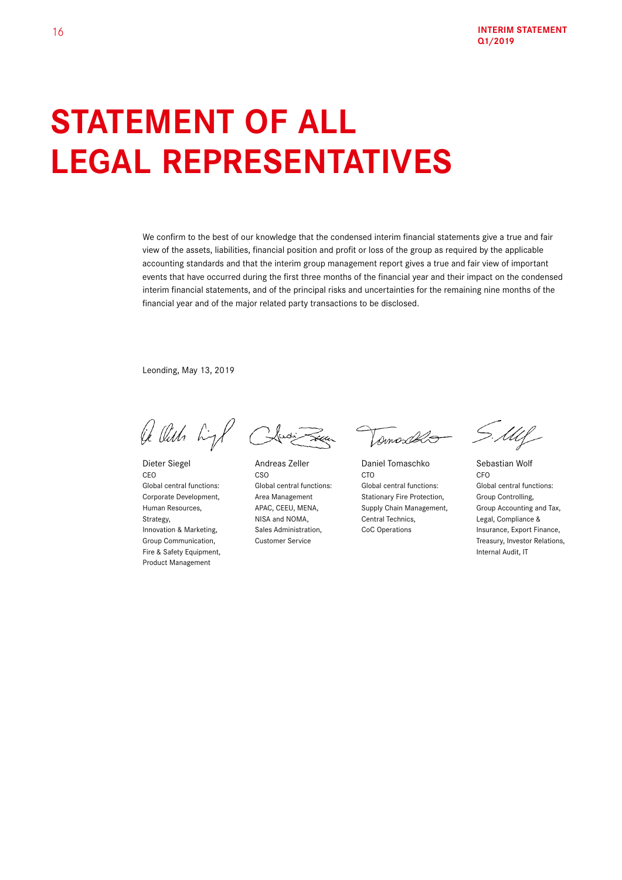# **STATEMENT OF ALL LEGAL REPRESENTATIVES**

We confirm to the best of our knowledge that the condensed interim financial statements give a true and fair view of the assets, liabilities, financial position and profit or loss of the group as required by the applicable accounting standards and that the interim group management report gives a true and fair view of important events that have occurred during the first three months of the financial year and their impact on the condensed interim financial statements, and of the principal risks and uncertainties for the remaining nine months of the financial year and of the major related party transactions to be disclosed.

Leonding, May 13, 2019

le Ville high Clusi Town

Fire & Safety Equipment, **Internal Audit, IT** Product Management

Tomoso

Dieter Siegel Andreas Zeller Daniel Tomaschko Sebastian Wolf CEO CSO CTO CFO Global central functions: Global central functions: Global central functions: Global central functions: Corporate Development, Area Management Stationary Fire Protection, Group Controlling, Strategy, Strategy, Strategy, NISA and NOMA, Central Technics, Legal, Compliance &

S.Mll

Human Resources, APAC, CEEU, MENA, Supply Chain Management, Group Accounting and Tax, Innovation & Marketing, Sales Administration, CoC Operations Insurance, Export Finance, Group Communication, Customer Service Communications, Customer Service Communications, Customer Service Communications,